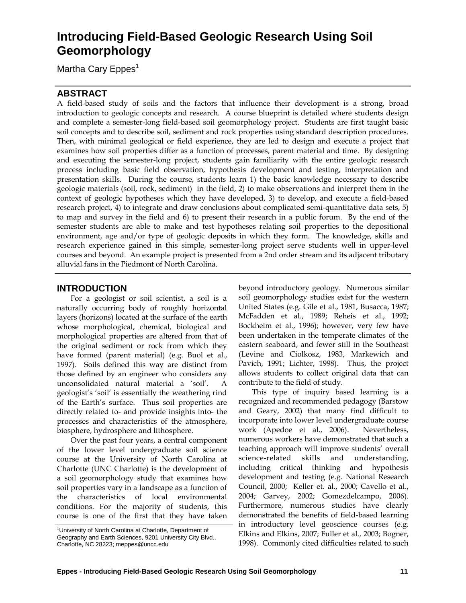# **Introducing Field-Based Geologic Research Using Soil Geomorphology**

Martha Cary Eppes<sup>1</sup>

# **ABSTRACT**

A field-based study of soils and the factors that influence their development is a strong, broad introduction to geologic concepts and research. A course blueprint is detailed where students design and complete a semester-long field-based soil geomorphology project. Students are first taught basic soil concepts and to describe soil, sediment and rock properties using standard description procedures. Then, with minimal geological or field experience, they are led to design and execute a project that examines how soil properties differ as a function of processes, parent material and time. By designing and executing the semester-long project, students gain familiarity with the entire geologic research process including basic field observation, hypothesis development and testing, interpretation and presentation skills. During the course, students learn 1) the basic knowledge necessary to describe geologic materials (soil, rock, sediment) in the field, 2) to make observations and interpret them in the context of geologic hypotheses which they have developed, 3) to develop, and execute a field-based research project, 4) to integrate and draw conclusions about complicated semi-quantitative data sets, 5) to map and survey in the field and 6) to present their research in a public forum. By the end of the semester students are able to make and test hypotheses relating soil properties to the depositional environment, age and/or type of geologic deposits in which they form. The knowledge, skills and research experience gained in this simple, semester-long project serve students well in upper-level courses and beyond. An example project is presented from a 2nd order stream and its adjacent tributary alluvial fans in the Piedmont of North Carolina.

# **INTRODUCTION**

For a geologist or soil scientist, a soil is a naturally occurring body of roughly horizontal layers (horizons) located at the surface of the earth whose morphological, chemical, biological and morphological properties are altered from that of the original sediment or rock from which they have formed (parent material) (e.g. Buol et al., 1997). Soils defined this way are distinct from those defined by an engineer who considers any unconsolidated natural material a 'soil'. A geologist's 'soil' is essentially the weathering rind of the Earth's surface. Thus soil properties are directly related to- and provide insights into- the processes and characteristics of the atmosphere, biosphere, hydrosphere and lithosphere.

Over the past four years, a central component of the lower level undergraduate soil science course at the University of North Carolina at Charlotte (UNC Charlotte) is the development of a soil geomorphology study that examines how soil properties vary in a landscape as a function of the characteristics of local environmental conditions. For the majority of students, this course is one of the first that they have taken

beyond introductory geology. Numerous similar soil geomorphology studies exist for the western United States (e.g. Gile et al., 1981, Busacca, 1987; McFadden et al., 1989; Reheis et al., 1992; Bockheim et al., 1996); however, very few have been undertaken in the temperate climates of the eastern seaboard, and fewer still in the Southeast (Levine and Ciolkosz, 1983, Markewich and Pavich, 1991; Lichter, 1998). Thus, the project allows students to collect original data that can contribute to the field of study.

This type of inquiry based learning is a recognized and recommended pedagogy (Barstow and Geary, 2002) that many find difficult to incorporate into lower level undergraduate course work (Apedoe et al., 2006). Nevertheless, numerous workers have demonstrated that such a teaching approach will improve students' overall science-related skills and understanding, including critical thinking and hypothesis development and testing (e.g. National Research Council, 2000; Keller et. al., 2000; Cavello et al., 2004; Garvey, 2002; Gomezdelcampo, 2006). Furthermore, numerous studies have clearly demonstrated the benefits of field-based learning in introductory level geoscience courses (e.g. Elkins and Elkins, 2007; Fuller et al., 2003; Bogner, 1998). Commonly cited difficulties related to such

<sup>&</sup>lt;sup>1</sup>University of North Carolina at Charlotte, Department of Geography and Earth Sciences, 9201 University City Blvd., Charlotte, NC 28223; meppes@uncc.edu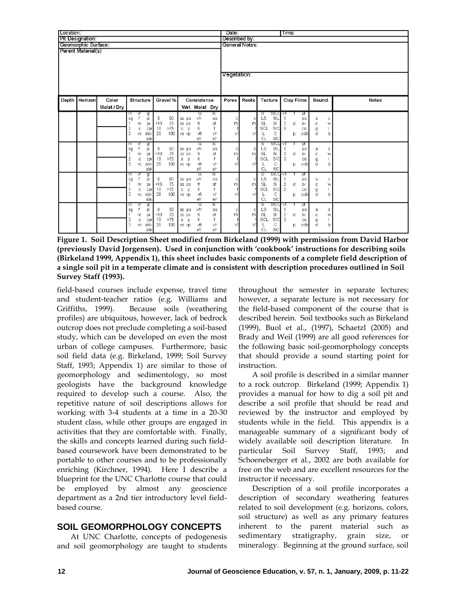| Location:                                  |               |                      |                                                                                                                                                                |                                                                                                    |                                                                                   |                                                                                                                                                                           |                               | Date:                       |                                                                                                                                                                                          |                                                                                                                                       | Time:                                                                                  |              |  |
|--------------------------------------------|---------------|----------------------|----------------------------------------------------------------------------------------------------------------------------------------------------------------|----------------------------------------------------------------------------------------------------|-----------------------------------------------------------------------------------|---------------------------------------------------------------------------------------------------------------------------------------------------------------------------|-------------------------------|-----------------------------|------------------------------------------------------------------------------------------------------------------------------------------------------------------------------------------|---------------------------------------------------------------------------------------------------------------------------------------|----------------------------------------------------------------------------------------|--------------|--|
| Pit Designation:                           |               |                      |                                                                                                                                                                |                                                                                                    |                                                                                   |                                                                                                                                                                           | Described by:                 |                             |                                                                                                                                                                                          |                                                                                                                                       |                                                                                        |              |  |
| Geomorphic Surface:<br>Parent Material(s): |               |                      |                                                                                                                                                                |                                                                                                    |                                                                                   |                                                                                                                                                                           | General Notes:<br>Vegetation: |                             |                                                                                                                                                                                          |                                                                                                                                       |                                                                                        |              |  |
|                                            | Depth Horizon | Color<br>Moist / Dry | Structure                                                                                                                                                      | Gravel %                                                                                           |                                                                                   | Consistence<br>Wet Moist Dry                                                                                                                                              | Pores                         | Roots                       | Texture                                                                                                                                                                                  | Clay Films                                                                                                                            | Bound.                                                                                 | <b>Notes</b> |  |
|                                            |               |                      | Μ<br>m<br>gr<br>pl<br>sg<br>m<br>pr<br>2<br>C<br>cpr<br>3<br>abk<br>VC<br>sbk<br>m<br>₩<br>gr<br>sg<br>pl<br>m<br>pr<br>2<br>C<br>cpr<br>3<br>abk<br>VC<br>sbk | 50<br>0<br>75<br>< 10<br>>75<br>10<br>100<br>25<br>50<br>0<br>75<br>< 10<br>>75<br>10<br>25<br>100 | so po<br>ss ps<br>$\mathbb S$<br>p<br>vs vp<br>so po<br>ss ps<br>s.<br>p<br>VS VD | To<br>ΠC<br>vfr<br>so<br>fr<br>sh<br>fi<br>$\mathsf{r}$<br>vfi<br>vŀ<br>efi<br>e <sub>r</sub><br>ΤΣ<br>To<br>vfr<br>so<br>fr<br>sh<br>fi<br>r<br>vfi<br>٧ŀ<br>efi<br>$e+$ | с<br>m<br>vt<br>Ċ<br>m<br>٧t  | с<br>m<br>٧İ<br>C<br>m<br>V | SICL V1<br>s<br>LS<br>SIL<br><b>SL</b><br>$\mathbb S$<br>SIC<br>SCL<br>с<br><b>SC</b><br>CL<br><b>SICL</b><br>s<br><b>LS</b><br>SIL<br>SL<br>$\mathbb{S}$<br>SCL<br>SIC<br>С<br>CL<br>SC | pt<br>po<br>$\overline{2}$<br>d<br>bı<br>3<br>CO<br>p<br>cobr<br>Γν<br>pt<br>po<br>$\overline{2}$<br>d<br>bı<br>-3<br>CO<br>cobr<br>р | $\leq$<br>a<br>с<br>W<br>g<br>d<br>b<br>$\Xi$<br>a<br>$\mathsf{C}$<br>w<br>g<br>d<br>b |              |  |
|                                            |               |                      | ₩<br>gr<br>m<br>pl<br>sg<br>pr<br>m<br>$\overline{2}$<br>c<br>cpr<br>3<br>abk<br>VC<br>sbk                                                                     | 50<br>0<br>75<br>< 10<br>>75<br>10<br>25<br>100                                                    | so po<br>ss ps<br>$\mathbb S$<br>p<br>VS VD                                       | To<br>TC<br>vfr<br>SO.<br>fr<br>sh<br>fi<br>ŀ<br>vfi<br>vŀ<br>efi<br>e <sub>r</sub>                                                                                       | c<br>m<br>vt                  | Ċ<br>m<br>V1                | <b>STCL</b><br>s<br>LS<br>SIL<br><b>SL</b><br>SI<br>SCL<br>SIC<br>С<br>CL<br><b>SC</b>                                                                                                   | V<br>pt<br>po<br>$\overline{2}$<br>d<br>bı<br>3<br>CO<br>p<br>cobr                                                                    | $\mathbb S$<br>a<br>$\mathbb C$<br>W<br>g<br>d<br>b                                    |              |  |
|                                            |               |                      | m<br>gr<br>₩<br>pl<br>sg<br>m<br>pr<br>$\overline{\mathbf{2}}$<br>C<br>cpr<br>3<br>abk<br>VC<br>sbk                                                            | 50<br>0<br>75<br>< 10<br>>75<br>10<br>25<br>100                                                    | so po<br>ss ps<br>$\mathbb S$<br>p<br>VS VD                                       | To<br>ΤΣ<br>vfr<br>so<br>fr<br>sh<br>fi<br>ŀ<br>vfi<br>٧r<br>efi<br>er                                                                                                    | c<br>m<br>٧t                  | с<br>m<br>v                 | SICL<br>S<br>LS<br>SIL<br>SL<br>$\mathbb S$<br>SCL<br>SIC<br>С<br>CL<br>SC                                                                                                               | V<br>pt<br>po<br>$\overline{2}$<br>d<br>bı<br>3<br>$_{\rm co}$<br>cobr<br>р                                                           | a<br>Ξ<br>$\mathsf{C}$<br>w<br>$\mathsf g$<br>d<br>b                                   |              |  |

**Figure 1. Soil Description Sheet modified from Birkeland (1999) with permission from David Harbor (previously David Jorgensen). Used in conjunction with 'cookbook' instructions for describing soils (Birkeland 1999, Appendix 1), this sheet includes basic components of a complete field description of a single soil pit in a temperate climate and is consistent with description procedures outlined in Soil Survey Staff (1993).** 

field-based courses include expense, travel time and student-teacher ratios (e.g. Williams and Griffiths, 1999). Because soils (weathering profiles) are ubiquitous, however, lack of bedrock outcrop does not preclude completing a soil-based study, which can be developed on even the most urban of college campuses. Furthermore, basic soil field data (e.g. Birkeland, 1999; Soil Survey Staff, 1993; Appendix 1) are similar to those of geomorphology and sedimentology, so most geologists have the background knowledge required to develop such a course. Also, the repetitive nature of soil descriptions allows for working with 3-4 students at a time in a 20-30 student class, while other groups are engaged in activities that they are comfortable with. Finally, the skills and concepts learned during such fieldbased coursework have been demonstrated to be portable to other courses and to be professionally enriching (Kirchner, 1994). Here I describe a blueprint for the UNC Charlotte course that could be employed by almost any geoscience department as a 2nd tier introductory level fieldbased course.

# **SOIL GEOMORPHOLOGY CONCEPTS**

At UNC Charlotte, concepts of pedogenesis and soil geomorphology are taught to students

throughout the semester in separate lectures; however, a separate lecture is not necessary for the field-based component of the course that is described herein. Soil textbooks such as Birkeland (1999), Buol et al., (1997), Schaetzl (2005) and Brady and Weil (1999) are all good references for the following basic soil-geomorphology concepts that should provide a sound starting point for instruction.

A soil profile is described in a similar manner to a rock outcrop. Birkeland (1999; Appendix 1) provides a manual for how to dig a soil pit and describe a soil profile that should be read and reviewed by the instructor and employed by students while in the field. This appendix is a manageable summary of a significant body of widely available soil description literature. In particular Soil Survey Staff, 1993; and Schoeneberger et al., 2002 are both available for free on the web and are excellent resources for the instructor if necessary.

Description of a soil profile incorporates a description of secondary weathering features related to soil development (e.g. horizons, colors, soil structure) as well as any primary features inherent to the parent material such as sedimentary stratigraphy, grain size, or mineralogy. Beginning at the ground surface, soil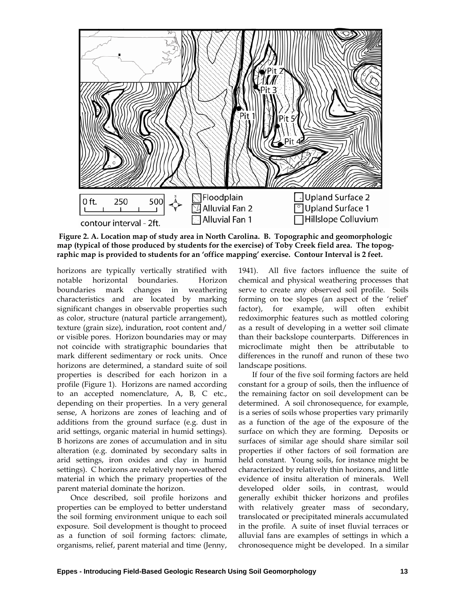

 **Figure 2. A. Location map of study area in North Carolina. B. Topographic and geomorphologic map (typical of those produced by students for the exercise) of Toby Creek field area. The topographic map is provided to students for an 'office mapping' exercise. Contour Interval is 2 feet.** 

horizons are typically vertically stratified with notable horizontal boundaries. Horizon boundaries mark changes in weathering characteristics and are located by marking significant changes in observable properties such as color, structure (natural particle arrangement), texture (grain size), induration, root content and/ or visible pores. Horizon boundaries may or may not coincide with stratigraphic boundaries that mark different sedimentary or rock units. Once horizons are determined, a standard suite of soil properties is described for each horizon in a profile (Figure 1). Horizons are named according to an accepted nomenclature, A, B, C etc., depending on their properties. In a very general sense, A horizons are zones of leaching and of additions from the ground surface (e.g. dust in arid settings, organic material in humid settings). B horizons are zones of accumulation and in situ alteration (e.g. dominated by secondary salts in arid settings, iron oxides and clay in humid settings). C horizons are relatively non-weathered material in which the primary properties of the parent material dominate the horizon.

Once described, soil profile horizons and properties can be employed to better understand the soil forming environment unique to each soil exposure. Soil development is thought to proceed as a function of soil forming factors: climate, organisms, relief, parent material and time (Jenny, 1941). All five factors influence the suite of chemical and physical weathering processes that serve to create any observed soil profile. Soils forming on toe slopes (an aspect of the 'relief' factor), for example, will often exhibit redoximorphic features such as mottled coloring as a result of developing in a wetter soil climate than their backslope counterparts. Differences in microclimate might then be attributable to differences in the runoff and runon of these two landscape positions.

If four of the five soil forming factors are held constant for a group of soils, then the influence of the remaining factor on soil development can be determined. A soil chronosequence, for example, is a series of soils whose properties vary primarily as a function of the age of the exposure of the surface on which they are forming. Deposits or surfaces of similar age should share similar soil properties if other factors of soil formation are held constant. Young soils, for instance might be characterized by relatively thin horizons, and little evidence of insitu alteration of minerals. Well developed older soils, in contrast, would generally exhibit thicker horizons and profiles with relatively greater mass of secondary, translocated or precipitated minerals accumulated in the profile. A suite of inset fluvial terraces or alluvial fans are examples of settings in which a chronosequence might be developed. In a similar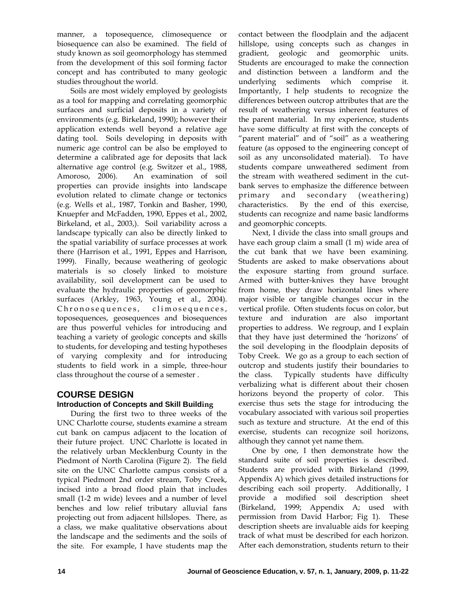manner, a toposequence, climosequence or biosequence can also be examined. The field of study known as soil geomorphology has stemmed from the development of this soil forming factor concept and has contributed to many geologic studies throughout the world.

Soils are most widely employed by geologists as a tool for mapping and correlating geomorphic surfaces and surficial deposits in a variety of environments (e.g. Birkeland, 1990); however their application extends well beyond a relative age dating tool. Soils developing in deposits with numeric age control can be also be employed to determine a calibrated age for deposits that lack alternative age control (e.g. Switzer et al., 1988, Amoroso, 2006). An examination of soil properties can provide insights into landscape evolution related to climate change or tectonics (e.g. Wells et al., 1987, Tonkin and Basher, 1990, Knuepfer and McFadden, 1990, Eppes et al., 2002, Birkeland, et al., 2003,). Soil variability across a landscape typically can also be directly linked to the spatial variability of surface processes at work there (Harrison et al., 1991, Eppes and Harrison, 1999). Finally, because weathering of geologic materials is so closely linked to moisture availability, soil development can be used to evaluate the hydraulic properties of geomorphic surfaces (Arkley, 1963, Young et al., 2004). Chronosequences, climosequences, toposequences, geosequences and biosequences are thus powerful vehicles for introducing and teaching a variety of geologic concepts and skills to students, for developing and testing hypotheses of varying complexity and for introducing students to field work in a simple, three-hour class throughout the course of a semester .

# **COURSE DESIGN**

### **Introduction of Concepts and Skill Building**

During the first two to three weeks of the UNC Charlotte course, students examine a stream cut bank on campus adjacent to the location of their future project. UNC Charlotte is located in the relatively urban Mecklenburg County in the Piedmont of North Carolina (Figure 2). The field site on the UNC Charlotte campus consists of a typical Piedmont 2nd order stream, Toby Creek, incised into a broad flood plain that includes small (1-2 m wide) levees and a number of level benches and low relief tributary alluvial fans projecting out from adjacent hillslopes. There, as a class, we make qualitative observations about the landscape and the sediments and the soils of the site. For example, I have students map the contact between the floodplain and the adjacent hillslope, using concepts such as changes in gradient, geologic and geomorphic units. Students are encouraged to make the connection and distinction between a landform and the underlying sediments which comprise it. Importantly, I help students to recognize the differences between outcrop attributes that are the result of weathering versus inherent features of the parent material. In my experience, students have some difficulty at first with the concepts of "parent material" and of "soil" as a weathering feature (as opposed to the engineering concept of soil as any unconsolidated material). To have students compare unweathered sediment from the stream with weathered sediment in the cutbank serves to emphasize the difference between primary and secondary (weathering) characteristics. By the end of this exercise, students can recognize and name basic landforms and geomorphic concepts.

Next, I divide the class into small groups and have each group claim a small (1 m) wide area of the cut bank that we have been examining. Students are asked to make observations about the exposure starting from ground surface. Armed with butter-knives they have brought from home, they draw horizontal lines where major visible or tangible changes occur in the vertical profile. Often students focus on color, but texture and induration are also important properties to address. We regroup, and I explain that they have just determined the 'horizons' of the soil developing in the floodplain deposits of Toby Creek. We go as a group to each section of outcrop and students justify their boundaries to the class. Typically students have difficulty verbalizing what is different about their chosen horizons beyond the property of color. This exercise thus sets the stage for introducing the vocabulary associated with various soil properties such as texture and structure. At the end of this exercise, students can recognize soil horizons, although they cannot yet name them.

One by one, I then demonstrate how the standard suite of soil properties is described. Students are provided with Birkeland (1999, Appendix A) which gives detailed instructions for describing each soil property. Additionally, I provide a modified soil description sheet (Birkeland, 1999; Appendix A; used with permission from David Harbor; Fig 1). These description sheets are invaluable aids for keeping track of what must be described for each horizon. After each demonstration, students return to their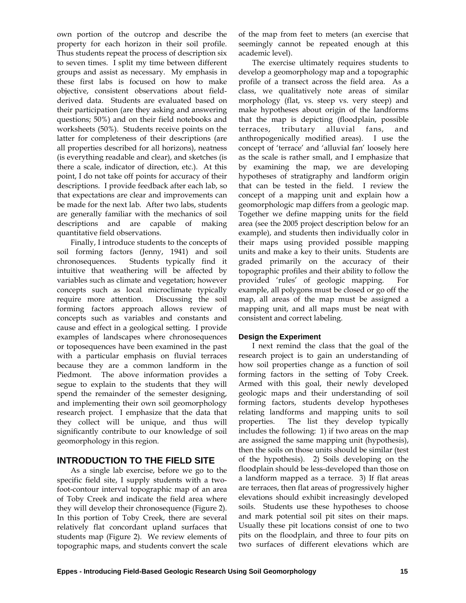own portion of the outcrop and describe the property for each horizon in their soil profile. Thus students repeat the process of description six to seven times. I split my time between different groups and assist as necessary. My emphasis in these first labs is focused on how to make objective, consistent observations about fieldderived data. Students are evaluated based on their participation (are they asking and answering questions; 50%) and on their field notebooks and worksheets (50%). Students receive points on the latter for completeness of their descriptions (are all properties described for all horizons), neatness (is everything readable and clear), and sketches (is there a scale, indicator of direction, etc.). At this point, I do not take off points for accuracy of their descriptions. I provide feedback after each lab, so that expectations are clear and improvements can be made for the next lab. After two labs, students are generally familiar with the mechanics of soil descriptions and are capable of making quantitative field observations.

Finally, I introduce students to the concepts of soil forming factors (Jenny, 1941) and soil chronosequences. Students typically find it intuitive that weathering will be affected by variables such as climate and vegetation; however concepts such as local microclimate typically require more attention. Discussing the soil forming factors approach allows review of concepts such as variables and constants and cause and effect in a geological setting. I provide examples of landscapes where chronosequences or toposequences have been examined in the past with a particular emphasis on fluvial terraces because they are a common landform in the Piedmont. The above information provides a segue to explain to the students that they will spend the remainder of the semester designing, and implementing their own soil geomorphology research project. I emphasize that the data that they collect will be unique, and thus will significantly contribute to our knowledge of soil geomorphology in this region.

# **INTRODUCTION TO THE FIELD SITE**

As a single lab exercise, before we go to the specific field site, I supply students with a twofoot-contour interval topographic map of an area of Toby Creek and indicate the field area where they will develop their chronosequence (Figure 2). In this portion of Toby Creek, there are several relatively flat concordant upland surfaces that students map (Figure 2). We review elements of topographic maps, and students convert the scale

of the map from feet to meters (an exercise that seemingly cannot be repeated enough at this academic level).

The exercise ultimately requires students to develop a geomorphology map and a topographic profile of a transect across the field area. As a class, we qualitatively note areas of similar morphology (flat, vs. steep vs. very steep) and make hypotheses about origin of the landforms that the map is depicting (floodplain, possible terraces, tributary alluvial fans, and anthropogenically modified areas). I use the concept of 'terrace' and 'alluvial fan' loosely here as the scale is rather small, and I emphasize that by examining the map, we are developing hypotheses of stratigraphy and landform origin that can be tested in the field. I review the concept of a mapping unit and explain how a geomorphologic map differs from a geologic map. Together we define mapping units for the field area (see the 2005 project description below for an example), and students then individually color in their maps using provided possible mapping units and make a key to their units. Students are graded primarily on the accuracy of their topographic profiles and their ability to follow the provided 'rules' of geologic mapping. For example, all polygons must be closed or go off the map, all areas of the map must be assigned a mapping unit, and all maps must be neat with consistent and correct labeling.

#### **Design the Experiment**

I next remind the class that the goal of the research project is to gain an understanding of how soil properties change as a function of soil forming factors in the setting of Toby Creek. Armed with this goal, their newly developed geologic maps and their understanding of soil forming factors, students develop hypotheses relating landforms and mapping units to soil properties. The list they develop typically includes the following: 1) if two areas on the map are assigned the same mapping unit (hypothesis), then the soils on those units should be similar (test of the hypothesis). 2) Soils developing on the floodplain should be less-developed than those on a landform mapped as a terrace. 3) If flat areas are terraces, then flat areas of progressively higher elevations should exhibit increasingly developed soils. Students use these hypotheses to choose and mark potential soil pit sites on their maps. Usually these pit locations consist of one to two pits on the floodplain, and three to four pits on two surfaces of different elevations which are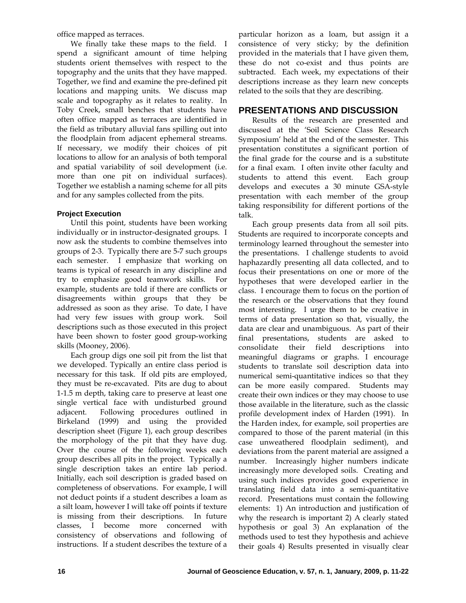office mapped as terraces.

We finally take these maps to the field. I spend a significant amount of time helping students orient themselves with respect to the topography and the units that they have mapped. Together, we find and examine the pre-defined pit locations and mapping units. We discuss map scale and topography as it relates to reality. In Toby Creek, small benches that students have often office mapped as terraces are identified in the field as tributary alluvial fans spilling out into the floodplain from adjacent ephemeral streams. If necessary, we modify their choices of pit locations to allow for an analysis of both temporal and spatial variability of soil development (i.e. more than one pit on individual surfaces). Together we establish a naming scheme for all pits and for any samples collected from the pits.

# **Project Execution**

Until this point, students have been working individually or in instructor-designated groups. I now ask the students to combine themselves into groups of 2-3. Typically there are 5-7 such groups each semester. I emphasize that working on teams is typical of research in any discipline and try to emphasize good teamwork skills. For example, students are told if there are conflicts or disagreements within groups that they be addressed as soon as they arise. To date, I have had very few issues with group work. Soil descriptions such as those executed in this project have been shown to foster good group-working skills (Mooney, 2006).

Each group digs one soil pit from the list that we developed. Typically an entire class period is necessary for this task. If old pits are employed, they must be re-excavated. Pits are dug to about 1-1.5 m depth, taking care to preserve at least one single vertical face with undisturbed ground adjacent. Following procedures outlined in Birkeland (1999) and using the provided description sheet (Figure 1), each group describes the morphology of the pit that they have dug. Over the course of the following weeks each group describes all pits in the project. Typically a single description takes an entire lab period. Initially, each soil description is graded based on completeness of observations. For example, I will not deduct points if a student describes a loam as a silt loam, however I will take off points if texture is missing from their descriptions. In future classes, I become more concerned with consistency of observations and following of instructions. If a student describes the texture of a particular horizon as a loam, but assign it a consistence of very sticky; by the definition provided in the materials that I have given them, these do not co-exist and thus points are subtracted. Each week, my expectations of their descriptions increase as they learn new concepts related to the soils that they are describing.

# **PRESENTATIONS AND DISCUSSION**

Results of the research are presented and discussed at the 'Soil Science Class Research Symposium' held at the end of the semester. This presentation constitutes a significant portion of the final grade for the course and is a substitute for a final exam. I often invite other faculty and students to attend this event. Each group develops and executes a 30 minute GSA-style presentation with each member of the group taking responsibility for different portions of the talk.

Each group presents data from all soil pits. Students are required to incorporate concepts and terminology learned throughout the semester into the presentations. I challenge students to avoid haphazardly presenting all data collected, and to focus their presentations on one or more of the hypotheses that were developed earlier in the class. I encourage them to focus on the portion of the research or the observations that they found most interesting. I urge them to be creative in terms of data presentation so that, visually, the data are clear and unambiguous. As part of their final presentations, students are asked to consolidate their field descriptions into meaningful diagrams or graphs. I encourage students to translate soil description data into numerical semi-quantitative indices so that they can be more easily compared. Students may create their own indices or they may choose to use those available in the literature, such as the classic profile development index of Harden (1991). In the Harden index, for example, soil properties are compared to those of the parent material (in this case unweathered floodplain sediment), and deviations from the parent material are assigned a number. Increasingly higher numbers indicate increasingly more developed soils. Creating and using such indices provides good experience in translating field data into a semi-quantitative record. Presentations must contain the following elements: 1) An introduction and justification of why the research is important 2) A clearly stated hypothesis or goal 3) An explanation of the methods used to test they hypothesis and achieve their goals 4) Results presented in visually clear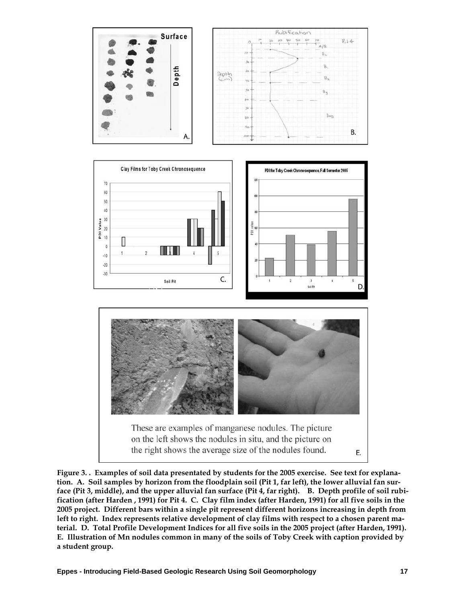





**Figure 3. . Examples of soil data presentated by students for the 2005 exercise. See text for explanation. A. Soil samples by horizon from the floodplain soil (Pit 1, far left), the lower alluvial fan surface (Pit 3, middle), and the upper alluvial fan surface (Pit 4, far right). B. Depth profile of soil rubification (after Harden , 1991) for Pit 4. C. Clay film index (after Harden, 1991) for all five soils in the 2005 project. Different bars within a single pit represent different horizons increasing in depth from left to right. Index represents relative development of clay films with respect to a chosen parent material. D. Total Profile Development Indices for all five soils in the 2005 project (after Harden, 1991). E. Illustration of Mn nodules common in many of the soils of Toby Creek with caption provided by a student group.**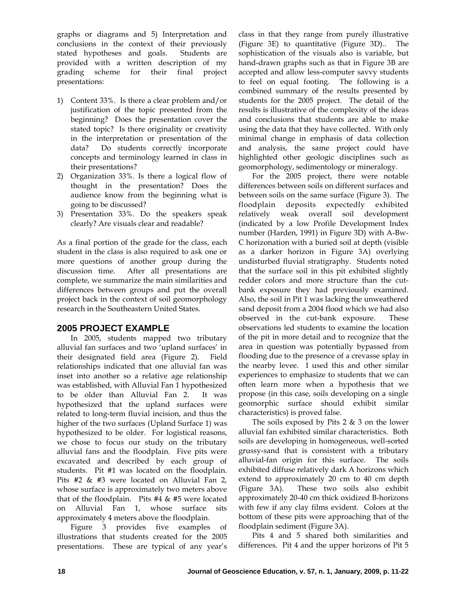graphs or diagrams and 5) Interpretation and conclusions in the context of their previously stated hypotheses and goals. Students are provided with a written description of my grading scheme for their final project presentations:

- 1) Content 33%. Is there a clear problem and/or justification of the topic presented from the beginning? Does the presentation cover the stated topic? Is there originality or creativity in the interpretation or presentation of the data? Do students correctly incorporate concepts and terminology learned in class in their presentations?
- 2) Organization 33%. Is there a logical flow of thought in the presentation? Does the audience know from the beginning what is going to be discussed?
- 3) Presentation 33%. Do the speakers speak clearly? Are visuals clear and readable?

As a final portion of the grade for the class, each student in the class is also required to ask one or more questions of another group during the discussion time. After all presentations are complete, we summarize the main similarities and differences between groups and put the overall project back in the context of soil geomorphology research in the Southeastern United States.

# **2005 PROJECT EXAMPLE**

In 2005, students mapped two tributary alluvial fan surfaces and two 'upland surfaces' in their designated field area (Figure 2). Field relationships indicated that one alluvial fan was inset into another so a relative age relationship was established, with Alluvial Fan 1 hypothesized to be older than Alluvial Fan 2. It was hypothesized that the upland surfaces were related to long-term fluvial incision, and thus the higher of the two surfaces (Upland Surface 1) was hypothesized to be older. For logistical reasons, we chose to focus our study on the tributary alluvial fans and the floodplain. Five pits were excavated and described by each group of students. Pit #1 was located on the floodplain. Pits #2 & #3 were located on Alluvial Fan 2, whose surface is approximately two meters above that of the floodplain. Pits  $#4 \& #5$  were located on Alluvial Fan 1, whose surface sits approximately 4 meters above the floodplain.

Figure 3 provides five examples of illustrations that students created for the 2005 presentations. These are typical of any year's class in that they range from purely illustrative (Figure 3E) to quantitative (Figure 3D).. The sophistication of the visuals also is variable, but hand-drawn graphs such as that in Figure 3B are accepted and allow less-computer savvy students to feel on equal footing. The following is a combined summary of the results presented by students for the 2005 project. The detail of the results is illustrative of the complexity of the ideas and conclusions that students are able to make using the data that they have collected. With only minimal change in emphasis of data collection and analysis, the same project could have highlighted other geologic disciplines such as geomorphology, sedimentology or mineralogy.

For the 2005 project, there were notable differences between soils on different surfaces and between soils on the same surface (Figure 3). The floodplain deposits expectedly exhibited relatively weak overall soil development (indicated by a low Profile Development Index number (Harden, 1991) in Figure 3D) with A-Bw-C horizonation with a buried soil at depth (visible as a darker horizon in Figure 3A) overlying undisturbed fluvial stratigraphy. Students noted that the surface soil in this pit exhibited slightly redder colors and more structure than the cutbank exposure they had previously examined. Also, the soil in Pit 1 was lacking the unweathered sand deposit from a 2004 flood which we had also observed in the cut-bank exposure. These observations led students to examine the location of the pit in more detail and to recognize that the area in question was potentially bypassed from flooding due to the presence of a crevasse splay in the nearby levee. I used this and other similar experiences to emphasize to students that we can often learn more when a hypothesis that we propose (in this case, soils developing on a single geomorphic surface should exhibit similar characteristics) is proved false.

The soils exposed by Pits  $2 \& 3$  on the lower alluvial fan exhibited similar characteristics. Both soils are developing in homogeneous, well-sorted grussy-sand that is consistent with a tributary alluvial-fan origin for this surface. The soils exhibited diffuse relatively dark A horizons which extend to approximately 20 cm to 40 cm depth (Figure 3A). These two soils also exhibit approximately 20-40 cm thick oxidized B-horizons with few if any clay films evident. Colors at the bottom of these pits were approaching that of the floodplain sediment (Figure 3A).

Pits 4 and 5 shared both similarities and differences. Pit 4 and the upper horizons of Pit 5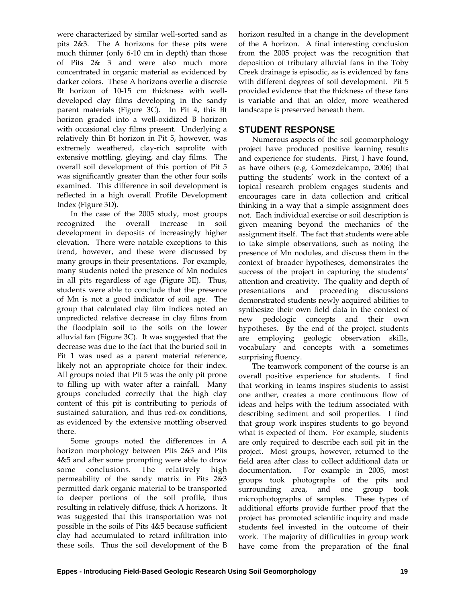were characterized by similar well-sorted sand as pits 2&3. The A horizons for these pits were much thinner (only 6-10 cm in depth) than those of Pits 2& 3 and were also much more concentrated in organic material as evidenced by darker colors. These A horizons overlie a discrete Bt horizon of 10-15 cm thickness with welldeveloped clay films developing in the sandy parent materials (Figure 3C). In Pit 4, this Bt horizon graded into a well-oxidized B horizon with occasional clay films present. Underlying a relatively thin Bt horizon in Pit 5, however, was extremely weathered, clay-rich saprolite with extensive mottling, gleying, and clay films. The overall soil development of this portion of Pit 5 was significantly greater than the other four soils examined. This difference in soil development is reflected in a high overall Profile Development Index (Figure 3D).

In the case of the 2005 study, most groups recognized the overall increase in soil development in deposits of increasingly higher elevation. There were notable exceptions to this trend, however, and these were discussed by many groups in their presentations. For example, many students noted the presence of Mn nodules in all pits regardless of age (Figure 3E). Thus, students were able to conclude that the presence of Mn is not a good indicator of soil age. The group that calculated clay film indices noted an unpredicted relative decrease in clay films from the floodplain soil to the soils on the lower alluvial fan (Figure 3C). It was suggested that the decrease was due to the fact that the buried soil in Pit 1 was used as a parent material reference, likely not an appropriate choice for their index. All groups noted that Pit 5 was the only pit prone to filling up with water after a rainfall. Many groups concluded correctly that the high clay content of this pit is contributing to periods of sustained saturation, and thus red-ox conditions, as evidenced by the extensive mottling observed there.

Some groups noted the differences in A horizon morphology between Pits 2&3 and Pits 4&5 and after some prompting were able to draw some conclusions. The relatively high permeability of the sandy matrix in Pits 2&3 permitted dark organic material to be transported to deeper portions of the soil profile, thus resulting in relatively diffuse, thick A horizons. It was suggested that this transportation was not possible in the soils of Pits 4&5 because sufficient clay had accumulated to retard infiltration into these soils. Thus the soil development of the B horizon resulted in a change in the development of the A horizon. A final interesting conclusion from the 2005 project was the recognition that deposition of tributary alluvial fans in the Toby Creek drainage is episodic, as is evidenced by fans with different degrees of soil development. Pit 5 provided evidence that the thickness of these fans is variable and that an older, more weathered landscape is preserved beneath them.

### **STUDENT RESPONSE**

Numerous aspects of the soil geomorphology project have produced positive learning results and experience for students. First, I have found, as have others (e.g. Gomezdelcampo, 2006) that putting the students' work in the context of a topical research problem engages students and encourages care in data collection and critical thinking in a way that a simple assignment does not. Each individual exercise or soil description is given meaning beyond the mechanics of the assignment itself. The fact that students were able to take simple observations, such as noting the presence of Mn nodules, and discuss them in the context of broader hypotheses, demonstrates the success of the project in capturing the students' attention and creativity. The quality and depth of presentations and proceeding discussions demonstrated students newly acquired abilities to synthesize their own field data in the context of new pedologic concepts and their own hypotheses. By the end of the project, students are employing geologic observation skills, vocabulary and concepts with a sometimes surprising fluency.

The teamwork component of the course is an overall positive experience for students. I find that working in teams inspires students to assist one anther, creates a more continuous flow of ideas and helps with the tedium associated with describing sediment and soil properties. I find that group work inspires students to go beyond what is expected of them. For example, students are only required to describe each soil pit in the project. Most groups, however, returned to the field area after class to collect additional data or documentation. For example in 2005, most groups took photographs of the pits and surrounding area, and one group took microphotographs of samples. These types of additional efforts provide further proof that the project has promoted scientific inquiry and made students feel invested in the outcome of their work. The majority of difficulties in group work have come from the preparation of the final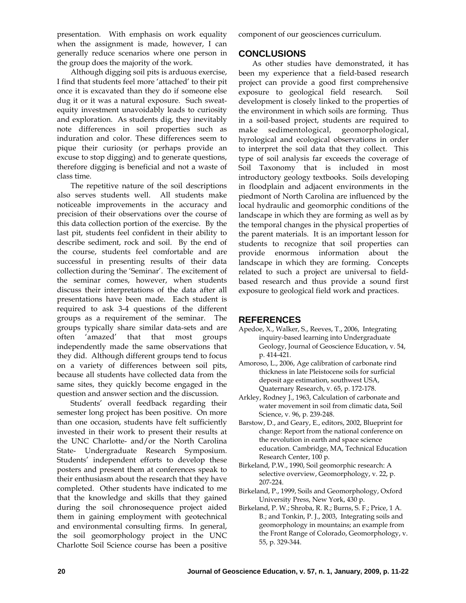presentation. With emphasis on work equality when the assignment is made, however, I can generally reduce scenarios where one person in the group does the majority of the work.

Although digging soil pits is arduous exercise, I find that students feel more 'attached' to their pit once it is excavated than they do if someone else dug it or it was a natural exposure. Such sweatequity investment unavoidably leads to curiosity and exploration. As students dig, they inevitably note differences in soil properties such as induration and color. These differences seem to pique their curiosity (or perhaps provide an excuse to stop digging) and to generate questions, therefore digging is beneficial and not a waste of class time.

The repetitive nature of the soil descriptions also serves students well. All students make noticeable improvements in the accuracy and precision of their observations over the course of this data collection portion of the exercise. By the last pit, students feel confident in their ability to describe sediment, rock and soil. By the end of the course, students feel comfortable and are successful in presenting results of their data collection during the 'Seminar'. The excitement of the seminar comes, however, when students discuss their interpretations of the data after all presentations have been made. Each student is required to ask 3-4 questions of the different groups as a requirement of the seminar. The groups typically share similar data-sets and are often 'amazed' that that most groups independently made the same observations that they did. Although different groups tend to focus on a variety of differences between soil pits, because all students have collected data from the same sites, they quickly become engaged in the question and answer section and the discussion.

Students' overall feedback regarding their semester long project has been positive. On more than one occasion, students have felt sufficiently invested in their work to present their results at the UNC Charlotte- and/or the North Carolina State- Undergraduate Research Symposium. Students' independent efforts to develop these posters and present them at conferences speak to their enthusiasm about the research that they have completed. Other students have indicated to me that the knowledge and skills that they gained during the soil chronosequence project aided them in gaining employment with geotechnical and environmental consulting firms. In general, the soil geomorphology project in the UNC Charlotte Soil Science course has been a positive component of our geosciences curriculum.

# **CONCLUSIONS**

As other studies have demonstrated, it has been my experience that a field-based research project can provide a good first comprehensive exposure to geological field research. Soil development is closely linked to the properties of the environment in which soils are forming. Thus in a soil-based project, students are required to make sedimentological, geomorphological, hyrological and ecological observations in order to interpret the soil data that they collect. This type of soil analysis far exceeds the coverage of Soil Taxonomy that is included in most introductory geology textbooks. Soils developing in floodplain and adjacent environments in the piedmont of North Carolina are influenced by the local hydraulic and geomorphic conditions of the landscape in which they are forming as well as by the temporal changes in the physical properties of the parent materials. It is an important lesson for students to recognize that soil properties can provide enormous information about the landscape in which they are forming. Concepts related to such a project are universal to fieldbased research and thus provide a sound first exposure to geological field work and practices.

### **REFERENCES**

- Apedoe, X., Walker, S., Reeves, T., 2006, Integrating inquiry-based learning into Undergraduate Geology, Journal of Geoscience Education, v. 54, p. 414-421.
- Amoroso, L., 2006, Age calibration of carbonate rind thickness in late Pleistocene soils for surficial deposit age estimation, southwest USA, Quaternary Research, v. 65, p. 172-178.
- Arkley, Rodney J., 1963, Calculation of carbonate and water movement in soil from climatic data, Soil Science, v. 96, p. 239-248.
- Barstow, D., and Geary, E., editors, 2002, Blueprint for change: Report from the national conference on the revolution in earth and space science education. Cambridge, MA, Technical Education Research Center, 100 p.
- Birkeland, P.W., 1990, Soil geomorphic research: A selective overview, Geomorphology, v. 22, p. 207-224.
- Birkeland, P., 1999, Soils and Geomorphology, Oxford University Press, New York, 430 p.
- Birkeland, P. W.; Shroba, R. R.; Burns, S. F.; Price, 1 A. B.; and Tonkin, P. J., 2003, Integrating soils and geomorphology in mountains; an example from the Front Range of Colorado, Geomorphology, v. 55, p. 329-344.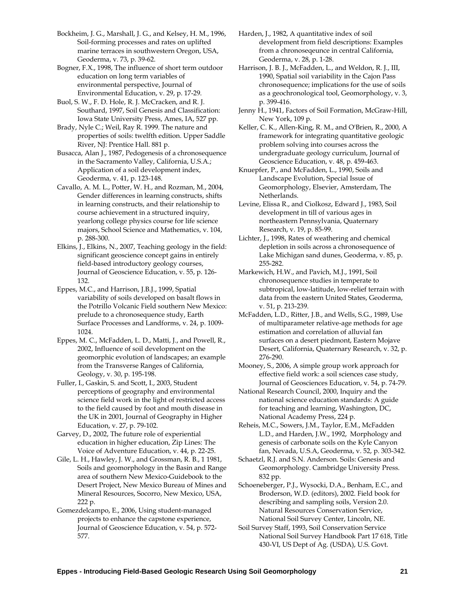Bockheim, J. G., Marshall, J. G., and Kelsey, H. M., 1996, Soil-forming processes and rates on uplifted marine terraces in southwestern Oregon, USA, Geoderma, v. 73, p. 39-62.

Bogner, F.X., 1998, The influence of short term outdoor education on long term variables of environmental perspective, Journal of Environmental Education, v. 29, p. 17-29.

Buol, S. W., F. D. Hole, R. J. McCracken, and R. J. Southard, 1997, Soil Genesis and Classification: Iowa State University Press, Ames, IA, 527 pp.

Brady, Nyle C.; Weil, Ray R. 1999. The nature and properties of soils: twelfth edition. Upper Saddle River, NJ: Prentice Hall. 881 p.

Busacca, Alan J., 1987, Pedogenesis of a chronosequence in the Sacramento Valley, California, U.S.A.; Application of a soil development index, Geoderma, v. 41, p. 123-148.

Cavallo, A. M. L., Potter, W. H., and Rozman, M., 2004, Gender differences in learning constructs, shifts in learning constructs, and their relationship to course achievement in a structured inquiry, yearlong college physics course for life science majors, School Science and Mathematics, v. 104, p. 288-300.

Elkins, J., Elkins, N., 2007, Teaching geology in the field: significant geoscience concept gains in entirely field-based introductory geology courses, Journal of Geoscience Education, v. 55, p. 126- 132.

Eppes, M.C., and Harrison, J.B.J., 1999, Spatial variability of soils developed on basalt flows in the Potrillo Volcanic Field southern New Mexico: prelude to a chronosequence study, Earth Surface Processes and Landforms, v. 24, p. 1009- 1024.

Eppes, M. C., McFadden, L. D., Matti, J., and Powell, R., 2002, Influence of soil development on the geomorphic evolution of landscapes; an example from the Transverse Ranges of California, Geology, v. 30, p. 195-198.

Fuller, I., Gaskin, S. and Scott, I., 2003, Student perceptions of geography and environmental science field work in the light of restricted access to the field caused by foot and mouth disease in the UK in 2001, Journal of Geography in Higher Education, v. 27, p. 79-102.

Garvey, D., 2002, The future role of experiential education in higher education, Zip Lines: The Voice of Adventure Education, v. 44, p. 22-25.

Gile, L. H., Hawley, J. W., and Grossman, R. B., 1 1981, Soils and geomorphology in the Basin and Range area of southern New Mexico-Guidebook to the Desert Project, New Mexico Bureau of Mines and Mineral Resources, Socorro, New Mexico, USA, 222 p.

Gomezdelcampo, E., 2006, Using student-managed projects to enhance the capstone experience, Journal of Geoscience Education, v. 54, p. 572- 577.

Harden, J., 1982, A quantitative index of soil development from field descriptions: Examples from a chronoseqeunce in central California, Geoderma, v. 28, p. 1-28.

Harrison, J. B. J., McFadden, L., and Weldon, R. J., III, 1990, Spatial soil variability in the Cajon Pass chronosequence; implications for the use of soils as a geochronological tool, Geomorphology, v. 3, p. 399-416.

Jenny H., 1941, Factors of Soil Formation, McGraw-Hill, New York, 109 p.

Keller, C. K., Allen-King, R. M., and O'Brien, R., 2000, A framework for integrating quantitative geologic problem solving into courses across the undergraduate geology curriculum, Journal of Geoscience Education, v. 48, p. 459-463.

Knuepfer, P., and McFadden, L., 1990, Soils and Landscape Evolution, Special Issue of Geomorphology, Elsevier, Amsterdam, The Netherlands.

Levine, Elissa R., and Ciolkosz, Edward J., 1983, Soil development in till of various ages in northeastern Pennsylvania, Quaternary Research, v. 19, p. 85-99.

Lichter, J., 1998, Rates of weathering and chemical depletion in soils across a chronosequence of Lake Michigan sand dunes, Geoderma, v. 85, p. 255-282.

Markewich, H.W., and Pavich, M.J., 1991, Soil chronosequence studies in temperate to subtropical, low-latitude, low-relief terrain with data from the eastern United States, Geoderma, v. 51, p. 213-239.

McFadden, L.D., Ritter, J.B., and Wells, S.G., 1989, Use of multiparameter relative-age methods for age estimation and correlation of alluvial fan surfaces on a desert piedmont, Eastern Mojave Desert, California, Quaternary Research, v. 32, p. 276-290.

Mooney, S., 2006, A simple group work approach for effective field work: a soil sciences case study, Journal of Geosciences Education, v. 54, p. 74-79.

National Research Council, 2000, Inquiry and the national science education standards: A guide for teaching and learning, Washington, DC, National Academy Press, 224 p.

Reheis, M.C., Sowers, J.M., Taylor, E.M., McFadden L.D., and Harden, J.W., 1992, Morphology and genesis of carbonate soils on the Kyle Canyon fan, Nevada, U.S.A, Geoderma, v. 52, p. 303-342.

Schaetzl, R.J. and S.N. Anderson. Soils: Genesis and Geomorphology. Cambridge University Press. 832 pp.

Schoeneberger, P.J., Wysocki, D.A., Benham, E.C., and Broderson, W.D. (editors), 2002. Field book for describing and sampling soils, Version 2.0. Natural Resources Conservation Service, National Soil Survey Center, Lincoln, NE.

Soil Survey Staff, 1993, Soil Conservation Service National Soil Survey Handbook Part 17 618, Title 430-VI, US Dept of Ag. (USDA), U.S. Govt.